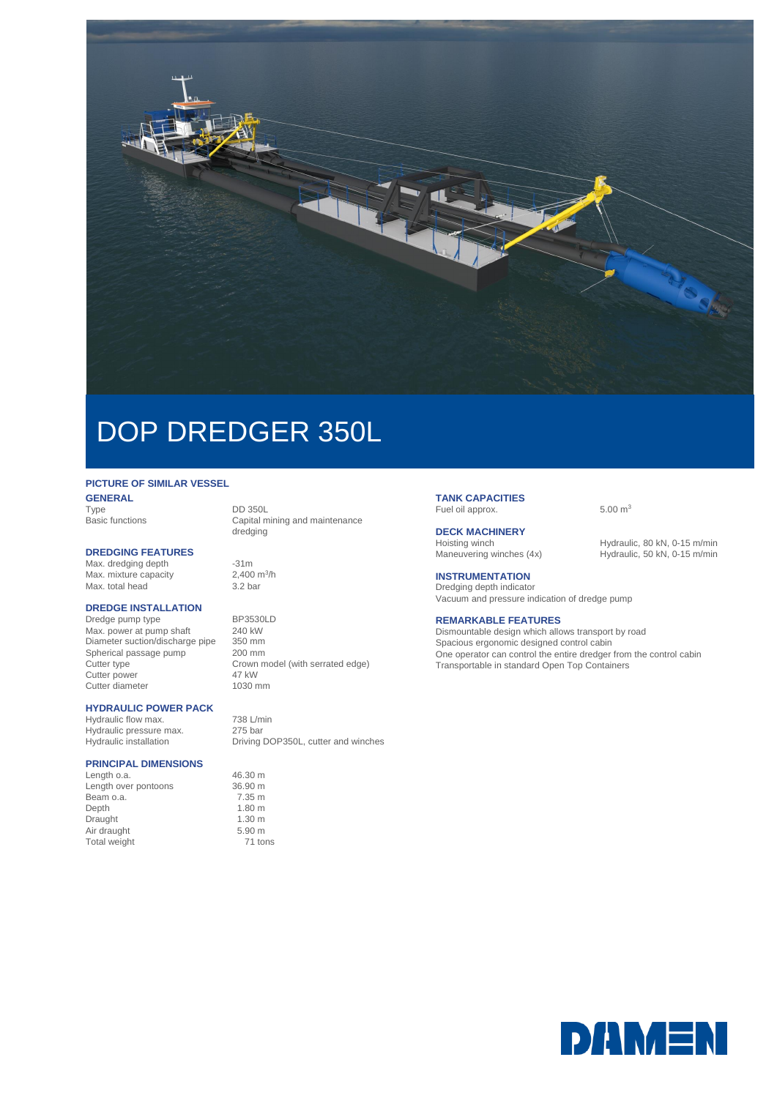

# DOP DREDGER 350L

## **PICTURE OF SIMILAR VESSEL**

**GENERAL**<br>Type Type DD 350L<br>
Basic functions Capital m

#### **DREDGING FEATURES**

Max. dredging depth -31m Max. mixture capacity 2,400 m<br>Max. total head 3.2 bar Max. total head

#### **DREDGE INSTALLATION**

Dredge pump type BP3530LD<br>Max. power at pump shaft 240 kW Max. power at pump shaft 240 kW<br>Diameter suction/discharge pipe 350 mm Diameter suction/discharge pipe 350 mm<br>Spherical passage pump 200 mm Spherical passage pump<br>Cutter type Cutter power Cutter diameter 1030 mm

## **HYDRAULIC POWER PACK**

Hydraulic flow max. 738 L/min Hydraulic pressure max. 275 bar

### **PRINCIPAL DIMENSIONS**

Length o.a. 46.30 m Length over pontoons 36.90 m<br>Beam o.a. 7.35 m Beam o.a. 7.35 m<br>Depth 1.80 m Depth 1.80 m<br>Draught 1.30 m<br>1.30 m Draught 1.30 m<br>
Air draught 5.90 m Air draught<br>
Total weight
Total weight
Total weight
Total weight
the manufacture of the manufacture of the manufacture of the manufacture of the manufacture of the manufacture of the manufacture of the manufacture of the m Total weight

Capital mining and maintenance dredging

2,400  $m^3/h$ 

Crown model (with serrated edge)<br>47 kW

Hydraulic installation Driving DOP350L, cutter and winches

#### **TANK CAPACITIES** Fuel oil approx. 6.00 m<sup>3</sup>

**DECK MACHINERY**

Hoisting winch Hydraulic, 80 kN, 0-15 m/min<br>Maneuvering winches (4x) Hydraulic, 50 kN, 0-15 m/min Hydraulic, 50 kN, 0-15 m/min

## **INSTRUMENTATION**

Dredging depth indicator Vacuum and pressure indication of dredge pump

#### **REMARKABLE FEATURES**

Dismountable design which allows transport by road Spacious ergonomic designed control cabin One operator can control the entire dredger from the control cabin Transportable in standard Open Top Containers